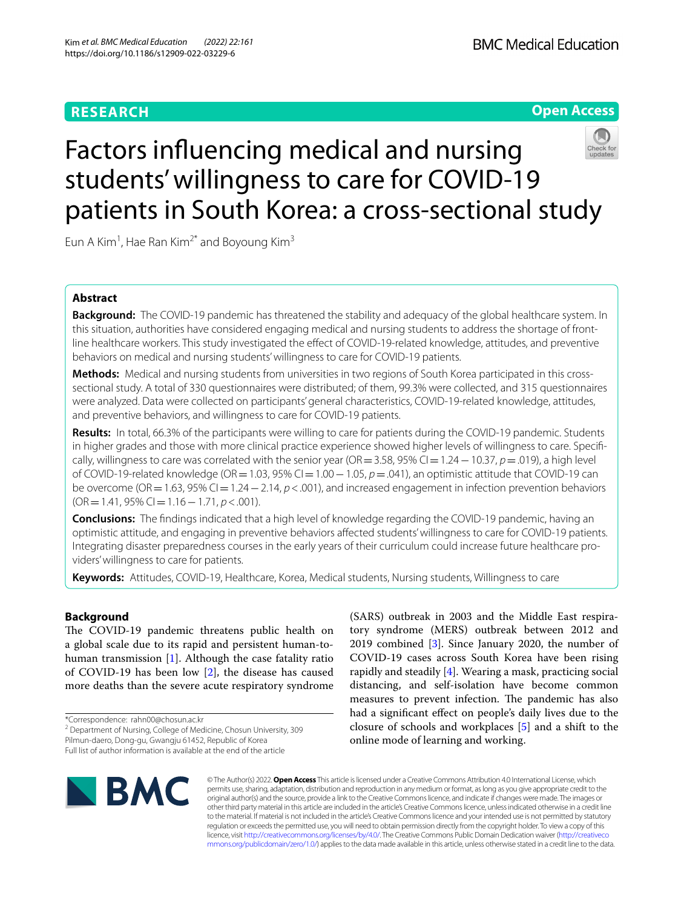# **RESEARCH**

# **Open Access**



# Factors infuencing medical and nursing students' willingness to care for COVID-19 patients in South Korea: a cross-sectional study

Eun A Kim<sup>1</sup>, Hae Ran Kim<sup>2\*</sup> and Boyoung Kim<sup>3</sup>

# **Abstract**

**Background:** The COVID-19 pandemic has threatened the stability and adequacy of the global healthcare system. In this situation, authorities have considered engaging medical and nursing students to address the shortage of frontline healthcare workers. This study investigated the efect of COVID-19-related knowledge, attitudes, and preventive behaviors on medical and nursing students' willingness to care for COVID-19 patients.

**Methods:** Medical and nursing students from universities in two regions of South Korea participated in this crosssectional study. A total of 330 questionnaires were distributed; of them, 99.3% were collected, and 315 questionnaires were analyzed. Data were collected on participants' general characteristics, COVID-19-related knowledge, attitudes, and preventive behaviors, and willingness to care for COVID-19 patients.

**Results:** In total, 66.3% of the participants were willing to care for patients during the COVID-19 pandemic. Students in higher grades and those with more clinical practice experience showed higher levels of willingness to care. Specifcally, willingness to care was correlated with the senior year (OR=3.58, 95% CI=1.24−10.37, *p*=.019), a high level of COVID-19-related knowledge (OR=1.03, 95% CI=1.00−1.05, *p*=.041), an optimistic attitude that COVID-19 can be overcome (OR=1.63, 95% CI=1.24−2.14, *p*<.001), and increased engagement in infection prevention behaviors (OR=1.41, 95% CI=1.16−1.71, *p*<.001).

**Conclusions:** The fndings indicated that a high level of knowledge regarding the COVID-19 pandemic, having an optimistic attitude, and engaging in preventive behaviors afected students' willingness to care for COVID-19 patients. Integrating disaster preparedness courses in the early years of their curriculum could increase future healthcare providers' willingness to care for patients.

**Keywords:** Attitudes, COVID-19, Healthcare, Korea, Medical students, Nursing students, Willingness to care

# **Background**

The COVID-19 pandemic threatens public health on a global scale due to its rapid and persistent human-tohuman transmission [[1](#page-6-0)]. Although the case fatality ratio of COVID-19 has been low [[2\]](#page-6-1), the disease has caused more deaths than the severe acute respiratory syndrome

\*Correspondence: rahn00@chosun.ac.kr

(SARS) outbreak in 2003 and the Middle East respiratory syndrome (MERS) outbreak between 2012 and 2019 combined [\[3](#page-6-2)]. Since January 2020, the number of COVID-19 cases across South Korea have been rising rapidly and steadily [\[4](#page-6-3)]. Wearing a mask, practicing social distancing, and self-isolation have become common measures to prevent infection. The pandemic has also had a signifcant efect on people's daily lives due to the closure of schools and workplaces [\[5\]](#page-6-4) and a shift to the online mode of learning and working.



© The Author(s) 2022. **Open Access** This article is licensed under a Creative Commons Attribution 4.0 International License, which permits use, sharing, adaptation, distribution and reproduction in any medium or format, as long as you give appropriate credit to the original author(s) and the source, provide a link to the Creative Commons licence, and indicate if changes were made. The images or other third party material in this article are included in the article's Creative Commons licence, unless indicated otherwise in a credit line to the material. If material is not included in the article's Creative Commons licence and your intended use is not permitted by statutory regulation or exceeds the permitted use, you will need to obtain permission directly from the copyright holder. To view a copy of this licence, visit [http://creativecommons.org/licenses/by/4.0/.](http://creativecommons.org/licenses/by/4.0/) The Creative Commons Public Domain Dedication waiver ([http://creativeco](http://creativecommons.org/publicdomain/zero/1.0/) [mmons.org/publicdomain/zero/1.0/](http://creativecommons.org/publicdomain/zero/1.0/)) applies to the data made available in this article, unless otherwise stated in a credit line to the data.

<sup>&</sup>lt;sup>2</sup> Department of Nursing, College of Medicine, Chosun University, 309 Pilmun-daero, Dong-gu, Gwangju 61452, Republic of Korea

Full list of author information is available at the end of the article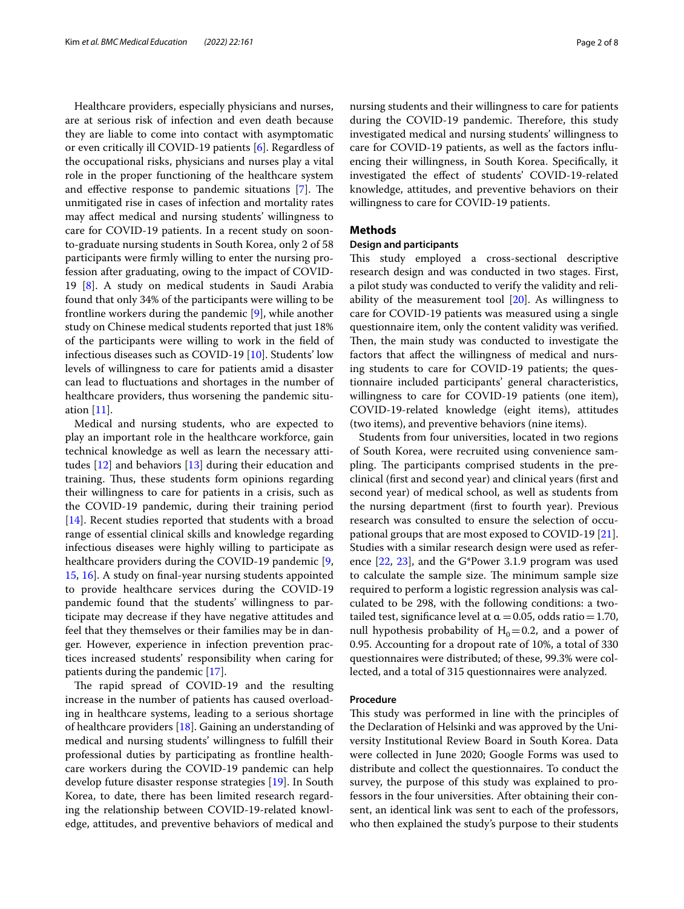Healthcare providers, especially physicians and nurses, are at serious risk of infection and even death because they are liable to come into contact with asymptomatic or even critically ill COVID-19 patients [[6\]](#page-6-5). Regardless of the occupational risks, physicians and nurses play a vital role in the proper functioning of the healthcare system and effective response to pandemic situations  $[7]$  $[7]$ . The unmitigated rise in cases of infection and mortality rates may afect medical and nursing students' willingness to care for COVID-19 patients. In a recent study on soonto-graduate nursing students in South Korea, only 2 of 58 participants were frmly willing to enter the nursing profession after graduating, owing to the impact of COVID-19 [[8\]](#page-6-7). A study on medical students in Saudi Arabia found that only 34% of the participants were willing to be frontline workers during the pandemic [\[9](#page-6-8)], while another study on Chinese medical students reported that just 18% of the participants were willing to work in the feld of infectious diseases such as COVID-19 [\[10\]](#page-6-9). Students' low levels of willingness to care for patients amid a disaster can lead to fuctuations and shortages in the number of healthcare providers, thus worsening the pandemic situation [\[11\]](#page-6-10).

Medical and nursing students, who are expected to play an important role in the healthcare workforce, gain technical knowledge as well as learn the necessary attitudes [[12\]](#page-6-11) and behaviors [[13\]](#page-6-12) during their education and training. Thus, these students form opinions regarding their willingness to care for patients in a crisis, such as the COVID-19 pandemic, during their training period [[14\]](#page-6-13). Recent studies reported that students with a broad range of essential clinical skills and knowledge regarding infectious diseases were highly willing to participate as healthcare providers during the COVID-19 pandemic [\[9](#page-6-8), [15,](#page-6-14) [16](#page-6-15)]. A study on fnal-year nursing students appointed to provide healthcare services during the COVID-19 pandemic found that the students' willingness to participate may decrease if they have negative attitudes and feel that they themselves or their families may be in danger. However, experience in infection prevention practices increased students' responsibility when caring for patients during the pandemic [\[17](#page-6-16)].

The rapid spread of COVID-19 and the resulting increase in the number of patients has caused overloading in healthcare systems, leading to a serious shortage of healthcare providers [\[18\]](#page-6-17). Gaining an understanding of medical and nursing students' willingness to fulfll their professional duties by participating as frontline healthcare workers during the COVID-19 pandemic can help develop future disaster response strategies [[19\]](#page-6-18). In South Korea, to date, there has been limited research regarding the relationship between COVID-19-related knowledge, attitudes, and preventive behaviors of medical and nursing students and their willingness to care for patients during the COVID-19 pandemic. Therefore, this study investigated medical and nursing students' willingness to care for COVID-19 patients, as well as the factors infuencing their willingness, in South Korea. Specifcally, it investigated the efect of students' COVID-19-related knowledge, attitudes, and preventive behaviors on their willingness to care for COVID-19 patients.

# **Methods**

# **Design and participants**

This study employed a cross-sectional descriptive research design and was conducted in two stages. First, a pilot study was conducted to verify the validity and reliability of the measurement tool [[20](#page-6-19)]. As willingness to care for COVID-19 patients was measured using a single questionnaire item, only the content validity was verifed. Then, the main study was conducted to investigate the factors that afect the willingness of medical and nursing students to care for COVID-19 patients; the questionnaire included participants' general characteristics, willingness to care for COVID-19 patients (one item), COVID-19-related knowledge (eight items), attitudes (two items), and preventive behaviors (nine items).

Students from four universities, located in two regions of South Korea, were recruited using convenience sampling. The participants comprised students in the preclinical (frst and second year) and clinical years (frst and second year) of medical school, as well as students from the nursing department (frst to fourth year). Previous research was consulted to ensure the selection of occupational groups that are most exposed to COVID-19 [\[21](#page-6-20)]. Studies with a similar research design were used as reference [\[22,](#page-6-21) [23](#page-6-22)], and the G\*Power 3.1.9 program was used to calculate the sample size. The minimum sample size required to perform a logistic regression analysis was calculated to be 298, with the following conditions: a twotailed test, significance level at  $\alpha$  = 0.05, odds ratio = 1.70, null hypothesis probability of  $H_0=0.2$ , and a power of 0.95. Accounting for a dropout rate of 10%, a total of 330 questionnaires were distributed; of these, 99.3% were collected, and a total of 315 questionnaires were analyzed.

#### **Procedure**

This study was performed in line with the principles of the Declaration of Helsinki and was approved by the University Institutional Review Board in South Korea. Data were collected in June 2020; Google Forms was used to distribute and collect the questionnaires. To conduct the survey, the purpose of this study was explained to professors in the four universities. After obtaining their consent, an identical link was sent to each of the professors, who then explained the study's purpose to their students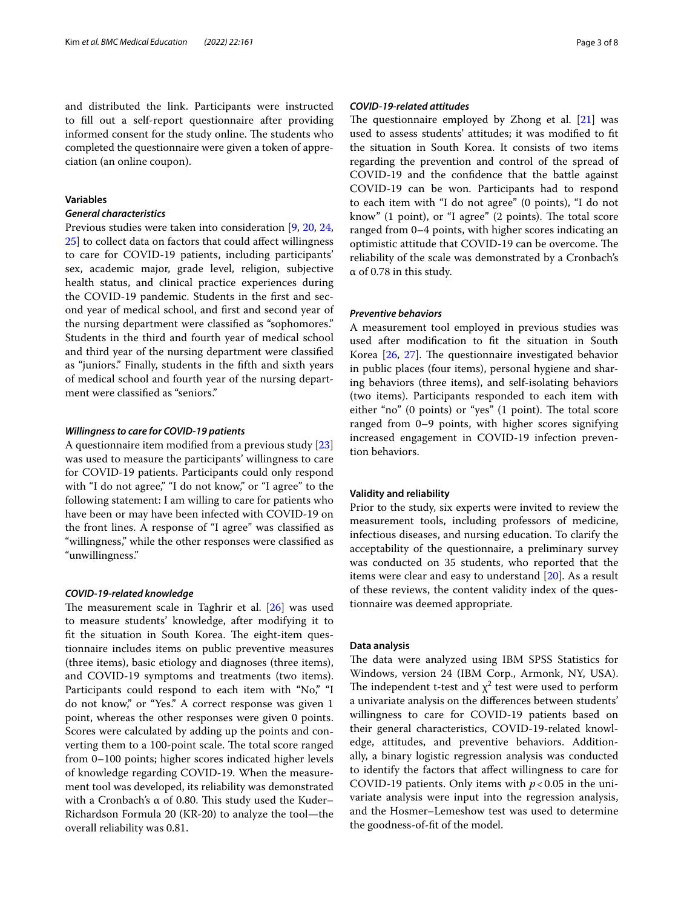and distributed the link. Participants were instructed to fll out a self-report questionnaire after providing informed consent for the study online. The students who completed the questionnaire were given a token of appreciation (an online coupon).

# **Variables**

# *General characteristics*

Previous studies were taken into consideration [[9,](#page-6-8) [20,](#page-6-19) [24](#page-6-23), [25\]](#page-6-24) to collect data on factors that could affect willingness to care for COVID-19 patients, including participants' sex, academic major, grade level, religion, subjective health status, and clinical practice experiences during the COVID-19 pandemic. Students in the frst and second year of medical school, and frst and second year of the nursing department were classifed as "sophomores." Students in the third and fourth year of medical school and third year of the nursing department were classifed as "juniors." Finally, students in the ffth and sixth years of medical school and fourth year of the nursing department were classifed as "seniors."

#### *Willingness to care for COVID‑19 patients*

A questionnaire item modifed from a previous study [[23](#page-6-22)] was used to measure the participants' willingness to care for COVID-19 patients. Participants could only respond with "I do not agree," "I do not know," or "I agree" to the following statement: I am willing to care for patients who have been or may have been infected with COVID-19 on the front lines. A response of "I agree" was classifed as "willingness," while the other responses were classifed as "unwillingness."

### *COVID‑19‑related knowledge*

The measurement scale in Taghrir et al.  $[26]$  $[26]$  was used to measure students' knowledge, after modifying it to fit the situation in South Korea. The eight-item questionnaire includes items on public preventive measures (three items), basic etiology and diagnoses (three items), and COVID-19 symptoms and treatments (two items). Participants could respond to each item with "No," "I do not know," or "Yes." A correct response was given 1 point, whereas the other responses were given 0 points. Scores were calculated by adding up the points and converting them to a 100-point scale. The total score ranged from 0–100 points; higher scores indicated higher levels of knowledge regarding COVID-19. When the measurement tool was developed, its reliability was demonstrated with a Cronbach's  $\alpha$  of 0.80. This study used the Kuder– Richardson Formula 20 (KR-20) to analyze the tool—the overall reliability was 0.81.

# *COVID‑19‑related attitudes*

The questionnaire employed by Zhong et al.  $[21]$  $[21]$  was used to assess students' attitudes; it was modifed to ft the situation in South Korea. It consists of two items regarding the prevention and control of the spread of COVID-19 and the confdence that the battle against COVID-19 can be won. Participants had to respond to each item with "I do not agree" (0 points), "I do not know" (1 point), or "I agree" (2 points). The total score ranged from 0–4 points, with higher scores indicating an optimistic attitude that COVID-19 can be overcome. The reliability of the scale was demonstrated by a Cronbach's α of 0.78 in this study.

#### *Preventive behaviors*

A measurement tool employed in previous studies was used after modifcation to ft the situation in South Korea  $[26, 27]$  $[26, 27]$  $[26, 27]$ . The questionnaire investigated behavior in public places (four items), personal hygiene and sharing behaviors (three items), and self-isolating behaviors (two items). Participants responded to each item with either "no" (0 points) or "yes" (1 point). The total score ranged from 0–9 points, with higher scores signifying increased engagement in COVID-19 infection prevention behaviors.

# **Validity and reliability**

Prior to the study, six experts were invited to review the measurement tools, including professors of medicine, infectious diseases, and nursing education. To clarify the acceptability of the questionnaire, a preliminary survey was conducted on 35 students, who reported that the items were clear and easy to understand [\[20](#page-6-19)]. As a result of these reviews, the content validity index of the questionnaire was deemed appropriate.

# **Data analysis**

The data were analyzed using IBM SPSS Statistics for Windows, version 24 (IBM Corp., Armonk, NY, USA). The independent t-test and  $\chi^2$  test were used to perform a univariate analysis on the diferences between students' willingness to care for COVID-19 patients based on their general characteristics, COVID-19-related knowledge, attitudes, and preventive behaviors. Additionally, a binary logistic regression analysis was conducted to identify the factors that afect willingness to care for COVID-19 patients. Only items with  $p < 0.05$  in the univariate analysis were input into the regression analysis, and the Hosmer–Lemeshow test was used to determine the goodness-of-ft of the model.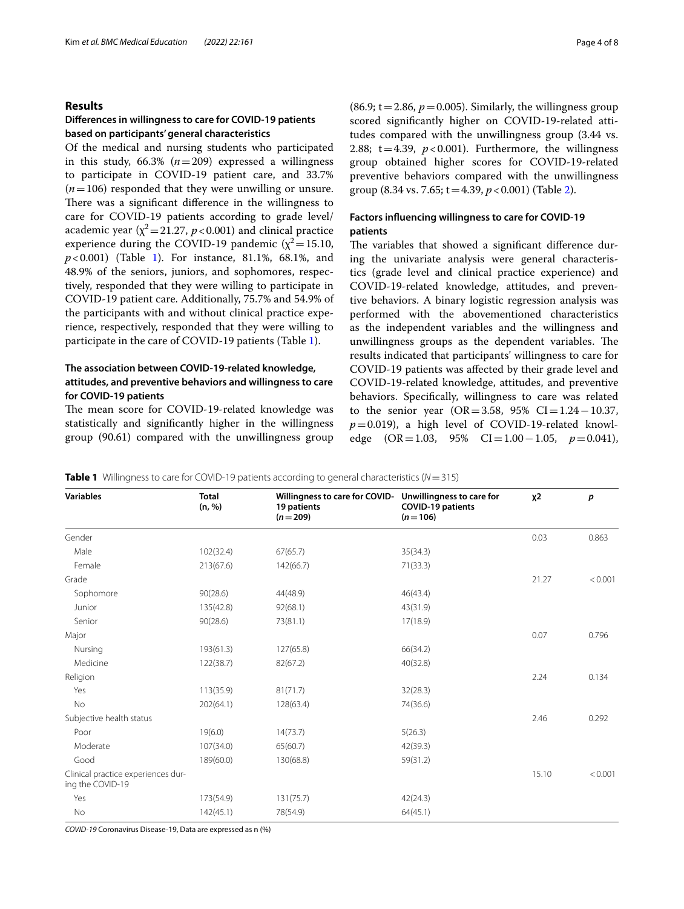# **Results**

# **Diferences in willingness to care for COVID‑19 patients based on participants' general characteristics**

Of the medical and nursing students who participated in this study,  $66.3\%$   $(n=209)$  expressed a willingness to participate in COVID-19 patient care, and 33.7%  $(n=106)$  responded that they were unwilling or unsure. There was a significant difference in the willingness to care for COVID-19 patients according to grade level/ academic year ( $\chi^2$  = 21.27, *p* < 0.001) and clinical practice experience during the COVID-19 pandemic ( $\chi^2$  = 15.10, *p*<0.001) (Table [1](#page-3-0)). For instance, 81.1%, 68.1%, and 48.9% of the seniors, juniors, and sophomores, respectively, responded that they were willing to participate in COVID-19 patient care. Additionally, 75.7% and 54.9% of the participants with and without clinical practice experience, respectively, responded that they were willing to participate in the care of COVID-19 patients (Table [1\)](#page-3-0).

# **The association between COVID‑19‑related knowledge, attitudes, and preventive behaviors and willingness to care for COVID‑19 patients**

The mean score for COVID-19-related knowledge was statistically and signifcantly higher in the willingness group (90.61) compared with the unwillingness group  $(86.9; t=2.86, p=0.005)$ . Similarly, the willingness group scored signifcantly higher on COVID-19-related attitudes compared with the unwillingness group (3.44 vs. 2.88;  $t=4.39$ ,  $p < 0.001$ ). Furthermore, the willingness group obtained higher scores for COVID-19-related preventive behaviors compared with the unwillingness group (8.34 vs. 7.65; t=4.39, *p*<0.001) (Table [2\)](#page-4-0).

# **Factors infuencing willingness to care for COVID‑19 patients**

The variables that showed a significant difference during the univariate analysis were general characteristics (grade level and clinical practice experience) and COVID-19-related knowledge, attitudes, and preventive behaviors. A binary logistic regression analysis was performed with the abovementioned characteristics as the independent variables and the willingness and unwillingness groups as the dependent variables. The results indicated that participants' willingness to care for COVID-19 patients was afected by their grade level and COVID-19-related knowledge, attitudes, and preventive behaviors. Specifcally, willingness to care was related to the senior year ( $OR = 3.58$ , 95%  $CI = 1.24 - 10.37$ ,  $p=0.019$ ), a high level of COVID-19-related knowledge (OR=1.03, 95% CI=1.00−1.05, *p*=0.041),

<span id="page-3-0"></span>

|  | <b>Table 1</b> Willingness to care for COVID-19 patients according to general characteristics ( $N = 315$ ) |  |  |  |  |
|--|-------------------------------------------------------------------------------------------------------------|--|--|--|--|
|--|-------------------------------------------------------------------------------------------------------------|--|--|--|--|

| <b>Variables</b>                                       | <b>Total</b><br>(n, %) | Willingness to care for COVID-<br>19 patients<br>$(n=209)$ | Unwillingness to care for<br><b>COVID-19 patients</b><br>$(n=106)$ | $x^2$ | p       |
|--------------------------------------------------------|------------------------|------------------------------------------------------------|--------------------------------------------------------------------|-------|---------|
| Gender                                                 |                        |                                                            |                                                                    | 0.03  | 0.863   |
| Male                                                   | 102(32.4)              | 67(65.7)                                                   | 35(34.3)                                                           |       |         |
| Female                                                 | 213(67.6)              | 142(66.7)                                                  | 71(33.3)                                                           |       |         |
| Grade                                                  |                        |                                                            |                                                                    | 21.27 | < 0.001 |
| Sophomore                                              | 90(28.6)               | 44(48.9)                                                   | 46(43.4)                                                           |       |         |
| Junior                                                 | 135(42.8)              | 92(68.1)                                                   | 43(31.9)                                                           |       |         |
| Senior                                                 | 90(28.6)               | 73(81.1)                                                   | 17(18.9)                                                           |       |         |
| Major                                                  |                        |                                                            |                                                                    | 0.07  | 0.796   |
| Nursing                                                | 193(61.3)              | 127(65.8)                                                  | 66(34.2)                                                           |       |         |
| Medicine                                               | 122(38.7)              | 82(67.2)                                                   | 40(32.8)                                                           |       |         |
| Religion                                               |                        |                                                            |                                                                    | 2.24  | 0.134   |
| Yes                                                    | 113(35.9)              | 81(71.7)                                                   | 32(28.3)                                                           |       |         |
| No                                                     | 202(64.1)              | 128(63.4)                                                  | 74(36.6)                                                           |       |         |
| Subjective health status                               |                        |                                                            |                                                                    | 2.46  | 0.292   |
| Poor                                                   | 19(6.0)                | 14(73.7)                                                   | 5(26.3)                                                            |       |         |
| Moderate                                               | 107(34.0)              | 65(60.7)                                                   | 42(39.3)                                                           |       |         |
| Good                                                   | 189(60.0)              | 130(68.8)                                                  | 59(31.2)                                                           |       |         |
| Clinical practice experiences dur-<br>ing the COVID-19 |                        |                                                            |                                                                    | 15.10 | < 0.001 |
| Yes                                                    | 173(54.9)              | 131(75.7)                                                  | 42(24.3)                                                           |       |         |
| No                                                     | 142(45.1)              | 78(54.9)                                                   | 64(45.1)                                                           |       |         |

*COVID-19* Coronavirus Disease-19, Data are expressed as n (%)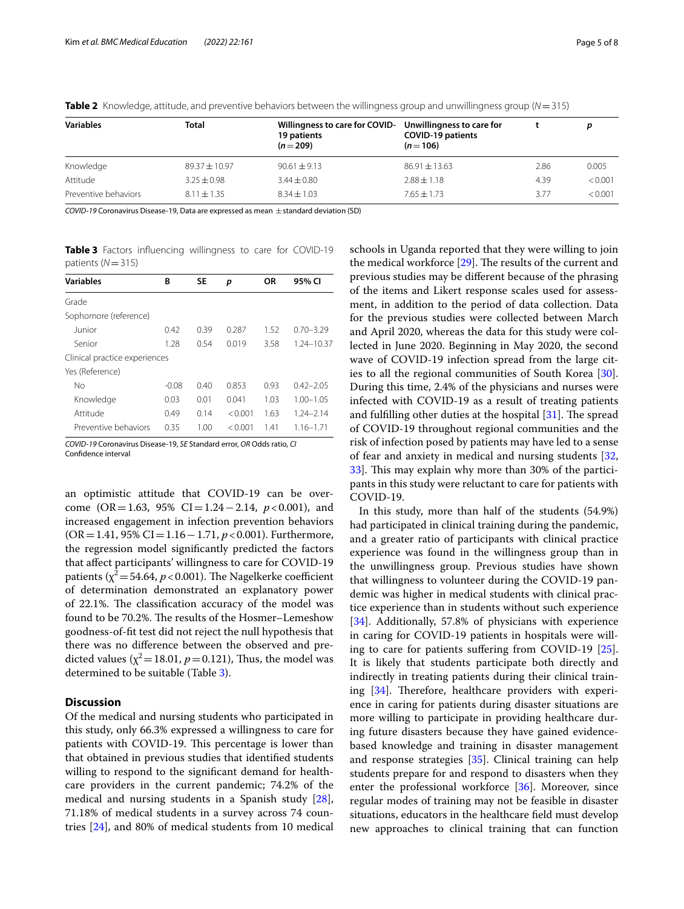| <b>Variables</b>     | Total           | Willingness to care for COVID- Unwillingness to care for<br>19 patients<br>$(n=209)$ | <b>COVID-19 patients</b><br>$(n=106)$ |      |         |  |
|----------------------|-----------------|--------------------------------------------------------------------------------------|---------------------------------------|------|---------|--|
| Knowledge            | $89.37 + 10.97$ | $90.61 \pm 9.13$                                                                     | $86.91 \pm 13.63$                     | 2.86 | 0.005   |  |
| Attitude             | $3.25 \pm 0.98$ | $3.44 \pm 0.80$                                                                      | $2.88 \pm 1.18$                       | 4.39 | < 0.001 |  |
| Preventive behaviors | $8.11 \pm 1.35$ | $8.34 \pm 1.03$                                                                      | $7.65 + 1.73$                         | 3.77 | < 0.001 |  |

<span id="page-4-0"></span>**Table 2** Knowledge, attitude, and preventive behaviors between the willingness group and unwillingness group (*N*=315)

*COVID-19* Coronavirus Disease-19, Data are expressed as mean ± standard deviation (SD)

<span id="page-4-1"></span>**Table 3** Factors infuencing willingness to care for COVID-19 patients (*N*=315)

| <b>Variables</b>              | В       | SE   | p       | OR   | 95% CI        |
|-------------------------------|---------|------|---------|------|---------------|
| Grade                         |         |      |         |      |               |
| Sophomore (reference)         |         |      |         |      |               |
| Junior                        | 0.42    | 0.39 | 0.287   | 1.52 | $0.70 - 3.29$ |
| Senior                        | 1.28    | 0.54 | 0.019   | 3.58 | 1.24-10.37    |
| Clinical practice experiences |         |      |         |      |               |
| Yes (Reference)               |         |      |         |      |               |
| No                            | $-0.08$ | 0.40 | 0.853   | 0.93 | $0.42 - 2.05$ |
| Knowledge                     | 0.03    | 0.01 | 0.041   | 1.03 | $1.00 - 1.05$ |
| Attitude                      | 0.49    | 0.14 | < 0.001 | 1.63 | $1.24 - 2.14$ |
| Preventive behaviors          | 0.35    | 1.00 | < 0.001 | 1.41 | $1.16 - 1.71$ |

*COVID-19* Coronavirus Disease-19, *SE* Standard error, *OR* Odds ratio, *CI* Confidence interva

an optimistic attitude that COVID-19 can be overcome (OR=1.63, 95% CI=1.24−2.14, *p*<0.001), and increased engagement in infection prevention behaviors (OR=1.41, 95% CI=1.16−1.71, *p*<0.001). Furthermore, the regression model signifcantly predicted the factors that afect participants' willingness to care for COVID-19 patients ( $\chi^2$  = 54.64, *p* < 0.001). The Nagelkerke coefficient of determination demonstrated an explanatory power of 22.1%. The classification accuracy of the model was found to be 70.2%. The results of the Hosmer–Lemeshow goodness-of-ft test did not reject the null hypothesis that there was no diference between the observed and predicted values ( $\chi^2$  = 18.01, *p* = 0.121), Thus, the model was determined to be suitable (Table [3\)](#page-4-1).

# **Discussion**

Of the medical and nursing students who participated in this study, only 66.3% expressed a willingness to care for patients with COVID-19. This percentage is lower than that obtained in previous studies that identifed students willing to respond to the significant demand for healthcare providers in the current pandemic; 74.2% of the medical and nursing students in a Spanish study [\[28](#page-7-0)], 71.18% of medical students in a survey across 74 countries [\[24\]](#page-6-23), and 80% of medical students from 10 medical

schools in Uganda reported that they were willing to join the medical workforce  $[29]$ . The results of the current and previous studies may be diferent because of the phrasing of the items and Likert response scales used for assessment, in addition to the period of data collection. Data for the previous studies were collected between March and April 2020, whereas the data for this study were collected in June 2020. Beginning in May 2020, the second wave of COVID-19 infection spread from the large cities to all the regional communities of South Korea [\[30](#page-7-2)]. During this time, 2.4% of the physicians and nurses were infected with COVID-19 as a result of treating patients and fulfilling other duties at the hospital  $[31]$  $[31]$ . The spread of COVID-19 throughout regional communities and the risk of infection posed by patients may have led to a sense of fear and anxiety in medical and nursing students [[32](#page-7-4), [33\]](#page-7-5). This may explain why more than 30% of the participants in this study were reluctant to care for patients with COVID-19.

In this study, more than half of the students (54.9%) had participated in clinical training during the pandemic, and a greater ratio of participants with clinical practice experience was found in the willingness group than in the unwillingness group. Previous studies have shown that willingness to volunteer during the COVID-19 pandemic was higher in medical students with clinical practice experience than in students without such experience [[34\]](#page-7-6). Additionally, 57.8% of physicians with experience in caring for COVID-19 patients in hospitals were willing to care for patients sufering from COVID-19 [\[25](#page-6-24)]. It is likely that students participate both directly and indirectly in treating patients during their clinical training  $[34]$ . Therefore, healthcare providers with experience in caring for patients during disaster situations are more willing to participate in providing healthcare during future disasters because they have gained evidencebased knowledge and training in disaster management and response strategies [[35](#page-7-7)]. Clinical training can help students prepare for and respond to disasters when they enter the professional workforce [\[36](#page-7-8)]. Moreover, since regular modes of training may not be feasible in disaster situations, educators in the healthcare feld must develop new approaches to clinical training that can function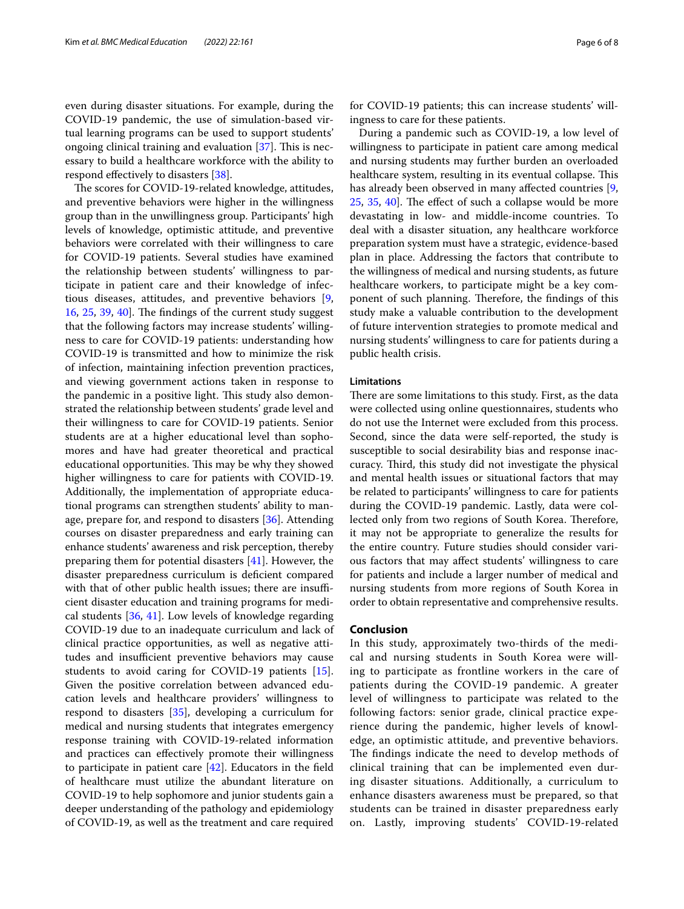even during disaster situations. For example, during the COVID-19 pandemic, the use of simulation-based virtual learning programs can be used to support students' ongoing clinical training and evaluation  $[37]$  $[37]$  $[37]$ . This is necessary to build a healthcare workforce with the ability to respond effectively to disasters [\[38\]](#page-7-10).

The scores for COVID-19-related knowledge, attitudes, and preventive behaviors were higher in the willingness group than in the unwillingness group. Participants' high levels of knowledge, optimistic attitude, and preventive behaviors were correlated with their willingness to care for COVID-19 patients. Several studies have examined the relationship between students' willingness to participate in patient care and their knowledge of infectious diseases, attitudes, and preventive behaviors [\[9](#page-6-8), [16,](#page-6-15) [25,](#page-6-24) [39,](#page-7-11) [40\]](#page-7-12). The findings of the current study suggest that the following factors may increase students' willingness to care for COVID-19 patients: understanding how COVID-19 is transmitted and how to minimize the risk of infection, maintaining infection prevention practices, and viewing government actions taken in response to the pandemic in a positive light. This study also demonstrated the relationship between students' grade level and their willingness to care for COVID-19 patients. Senior students are at a higher educational level than sophomores and have had greater theoretical and practical educational opportunities. This may be why they showed higher willingness to care for patients with COVID-19. Additionally, the implementation of appropriate educational programs can strengthen students' ability to man-age, prepare for, and respond to disasters [[36](#page-7-8)]. Attending courses on disaster preparedness and early training can enhance students' awareness and risk perception, thereby preparing them for potential disasters [\[41](#page-7-13)]. However, the disaster preparedness curriculum is defcient compared with that of other public health issues; there are insufficient disaster education and training programs for medical students [\[36](#page-7-8), [41\]](#page-7-13). Low levels of knowledge regarding COVID-19 due to an inadequate curriculum and lack of clinical practice opportunities, as well as negative attitudes and insufficient preventive behaviors may cause students to avoid caring for COVID-19 patients [\[15](#page-6-14)]. Given the positive correlation between advanced education levels and healthcare providers' willingness to respond to disasters [\[35](#page-7-7)], developing a curriculum for medical and nursing students that integrates emergency response training with COVID-19-related information and practices can efectively promote their willingness to participate in patient care  $[42]$  $[42]$ . Educators in the field of healthcare must utilize the abundant literature on COVID-19 to help sophomore and junior students gain a deeper understanding of the pathology and epidemiology of COVID-19, as well as the treatment and care required for COVID-19 patients; this can increase students' willingness to care for these patients.

During a pandemic such as COVID-19, a low level of willingness to participate in patient care among medical and nursing students may further burden an overloaded healthcare system, resulting in its eventual collapse. This has already been observed in many afected countries [\[9](#page-6-8),  $25, 35, 40$  $25, 35, 40$  $25, 35, 40$  $25, 35, 40$  $25, 35, 40$ . The effect of such a collapse would be more devastating in low- and middle-income countries. To deal with a disaster situation, any healthcare workforce preparation system must have a strategic, evidence-based plan in place. Addressing the factors that contribute to the willingness of medical and nursing students, as future healthcare workers, to participate might be a key component of such planning. Therefore, the findings of this study make a valuable contribution to the development of future intervention strategies to promote medical and nursing students' willingness to care for patients during a public health crisis.

#### **Limitations**

There are some limitations to this study. First, as the data were collected using online questionnaires, students who do not use the Internet were excluded from this process. Second, since the data were self-reported, the study is susceptible to social desirability bias and response inaccuracy. Third, this study did not investigate the physical and mental health issues or situational factors that may be related to participants' willingness to care for patients during the COVID-19 pandemic. Lastly, data were collected only from two regions of South Korea. Therefore, it may not be appropriate to generalize the results for the entire country. Future studies should consider various factors that may afect students' willingness to care for patients and include a larger number of medical and nursing students from more regions of South Korea in order to obtain representative and comprehensive results.

#### **Conclusion**

In this study, approximately two-thirds of the medical and nursing students in South Korea were willing to participate as frontline workers in the care of patients during the COVID-19 pandemic. A greater level of willingness to participate was related to the following factors: senior grade, clinical practice experience during the pandemic, higher levels of knowledge, an optimistic attitude, and preventive behaviors. The findings indicate the need to develop methods of clinical training that can be implemented even during disaster situations. Additionally, a curriculum to enhance disasters awareness must be prepared, so that students can be trained in disaster preparedness early on. Lastly, improving students' COVID-19-related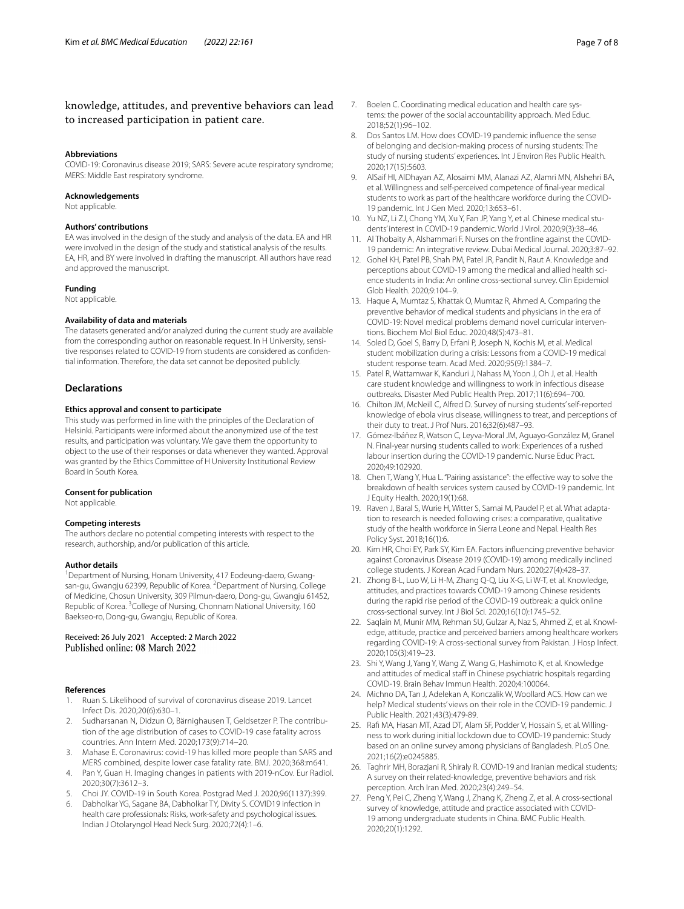# knowledge, attitudes, and preventive behaviors can lead to increased participation in patient care.

#### **Abbreviations**

COVID-19: Coronavirus disease 2019; SARS: Severe acute respiratory syndrome; MERS: Middle East respiratory syndrome.

#### **Acknowledgements**

Not applicable.

#### **Authors' contributions**

EA was involved in the design of the study and analysis of the data. EA and HR were involved in the design of the study and statistical analysis of the results. EA, HR, and BY were involved in drafting the manuscript. All authors have read and approved the manuscript.

#### **Funding**

Not applicable.

#### **Availability of data and materials**

The datasets generated and/or analyzed during the current study are available from the corresponding author on reasonable request. In H University, sensitive responses related to COVID-19 from students are considered as confdential information. Therefore, the data set cannot be deposited publicly.

### **Declarations**

### **Ethics approval and consent to participate**

This study was performed in line with the principles of the Declaration of Helsinki. Participants were informed about the anonymized use of the test results, and participation was voluntary. We gave them the opportunity to object to the use of their responses or data whenever they wanted. Approval was granted by the Ethics Committee of H University Institutional Review Board in South Korea.

#### **Consent for publication**

Not applicable.

#### **Competing interests**

The authors declare no potential competing interests with respect to the research, authorship, and/or publication of this article.

#### **Author details**

<sup>1</sup> Department of Nursing, Honam University, 417 Eodeung-daero, Gwangsan-gu, Gwangju 62399, Republic of Korea. <sup>2</sup> Department of Nursing, College of Medicine, Chosun University, 309 Pilmun-daero, Dong-gu, Gwangju 61452, Republic of Korea. <sup>3</sup> College of Nursing, Chonnam National University, 160 Baekseo-ro, Dong-gu, Gwangju, Republic of Korea.

#### Received: 26 July 2021 Accepted: 2 March 2022 Published online: 08 March 2022

#### **References**

- <span id="page-6-0"></span>1. Ruan S. Likelihood of survival of coronavirus disease 2019. Lancet Infect Dis. 2020;20(6):630–1.
- <span id="page-6-1"></span>Sudharsanan N, Didzun O, Bärnighausen T, Geldsetzer P. The contribution of the age distribution of cases to COVID-19 case fatality across countries. Ann Intern Med. 2020;173(9):714–20.
- <span id="page-6-2"></span>3. Mahase E. Coronavirus: covid-19 has killed more people than SARS and MERS combined, despite lower case fatality rate. BMJ. 2020;368:m641.
- <span id="page-6-3"></span>4. Pan Y, Guan H. Imaging changes in patients with 2019-nCov. Eur Radiol. 2020;30(7):3612–3.
- <span id="page-6-4"></span>5. Choi JY. COVID-19 in South Korea. Postgrad Med J. 2020;96(1137):399.
- <span id="page-6-5"></span>6. Dabholkar YG, Sagane BA, Dabholkar TY, Divity S. COVID19 infection in health care professionals: Risks, work-safety and psychological issues. Indian J Otolaryngol Head Neck Surg. 2020;72(4):1–6.
- <span id="page-6-6"></span>7. Boelen C. Coordinating medical education and health care systems: the power of the social accountability approach. Med Educ. 2018;52(1):96–102.
- <span id="page-6-7"></span>8. Dos Santos LM. How does COVID-19 pandemic infuence the sense of belonging and decision-making process of nursing students: The study of nursing students' experiences. Int J Environ Res Public Health. 2020;17(15):5603.
- <span id="page-6-8"></span>9. AlSaif HI, AlDhayan AZ, Alosaimi MM, Alanazi AZ, Alamri MN, Alshehri BA, et al. Willingness and self-perceived competence of fnal-year medical students to work as part of the healthcare workforce during the COVID-19 pandemic. Int J Gen Med. 2020;13:653–61.
- <span id="page-6-9"></span>10. Yu NZ, Li ZJ, Chong YM, Xu Y, Fan JP, Yang Y, et al. Chinese medical students' interest in COVID-19 pandemic. World J Virol. 2020;9(3):38–46.
- <span id="page-6-10"></span>11. Al Thobaity A, Alshammari F. Nurses on the frontline against the COVID-19 pandemic: An integrative review. Dubai Medical Journal. 2020;3:87–92.
- <span id="page-6-11"></span>12. Gohel KH, Patel PB, Shah PM, Patel JR, Pandit N, Raut A. Knowledge and perceptions about COVID-19 among the medical and allied health science students in India: An online cross-sectional survey. Clin Epidemiol Glob Health. 2020;9:104–9.
- <span id="page-6-12"></span>13. Haque A, Mumtaz S, Khattak O, Mumtaz R, Ahmed A. Comparing the preventive behavior of medical students and physicians in the era of COVID-19: Novel medical problems demand novel curricular interventions. Biochem Mol Biol Educ. 2020;48(5):473–81.
- <span id="page-6-13"></span>14. Soled D, Goel S, Barry D, Erfani P, Joseph N, Kochis M, et al. Medical student mobilization during a crisis: Lessons from a COVID-19 medical student response team. Acad Med. 2020;95(9):1384–7.
- <span id="page-6-14"></span>15. Patel R, Wattamwar K, Kanduri J, Nahass M, Yoon J, Oh J, et al. Health care student knowledge and willingness to work in infectious disease outbreaks. Disaster Med Public Health Prep. 2017;11(6):694–700.
- <span id="page-6-15"></span>16. Chilton JM, McNeill C, Alfred D. Survey of nursing students' self-reported knowledge of ebola virus disease, willingness to treat, and perceptions of their duty to treat. J Prof Nurs. 2016;32(6):487–93.
- <span id="page-6-16"></span>17. Gómez-Ibáñez R, Watson C, Leyva-Moral JM, Aguayo-González M, Granel N. Final-year nursing students called to work: Experiences of a rushed labour insertion during the COVID-19 pandemic. Nurse Educ Pract. 2020;49:102920.
- <span id="page-6-17"></span>18. Chen T, Wang Y, Hua L. "Pairing assistance": the effective way to solve the breakdown of health services system caused by COVID-19 pandemic. Int J Equity Health. 2020;19(1):68.
- <span id="page-6-18"></span>19. Raven J, Baral S, Wurie H, Witter S, Samai M, Paudel P, et al. What adaptation to research is needed following crises: a comparative, qualitative study of the health workforce in Sierra Leone and Nepal. Health Res Policy Syst. 2018;16(1):6.
- <span id="page-6-19"></span>20. Kim HR, Choi EY, Park SY, Kim EA. Factors infuencing preventive behavior against Coronavirus Disease 2019 (COVID-19) among medically inclined college students. J Korean Acad Fundam Nurs. 2020;27(4):428–37.
- <span id="page-6-20"></span>21. Zhong B-L, Luo W, Li H-M, Zhang Q-Q, Liu X-G, Li W-T, et al. Knowledge, attitudes, and practices towards COVID-19 among Chinese residents during the rapid rise period of the COVID-19 outbreak: a quick online cross-sectional survey. Int J Biol Sci. 2020;16(10):1745–52.
- <span id="page-6-21"></span>22. Saqlain M, Munir MM, Rehman SU, Gulzar A, Naz S, Ahmed Z, et al. Knowledge, attitude, practice and perceived barriers among healthcare workers regarding COVID-19: A cross-sectional survey from Pakistan. J Hosp Infect. 2020;105(3):419–23.
- <span id="page-6-22"></span>23. Shi Y, Wang J, Yang Y, Wang Z, Wang G, Hashimoto K, et al. Knowledge and attitudes of medical staff in Chinese psychiatric hospitals regarding COVID-19. Brain Behav Immun Health. 2020;4:100064.
- <span id="page-6-23"></span>24. Michno DA, Tan J, Adelekan A, Konczalik W, Woollard ACS. How can we help? Medical students' views on their role in the COVID-19 pandemic. J Public Health. 2021;43(3):479-89.
- <span id="page-6-24"></span>25. Raf MA, Hasan MT, Azad DT, Alam SF, Podder V, Hossain S, et al. Willingness to work during initial lockdown due to COVID-19 pandemic: Study based on an online survey among physicians of Bangladesh. PLoS One. 2021;16(2):e0245885.
- <span id="page-6-25"></span>26. Taghrir MH, Borazjani R, Shiraly R. COVID-19 and Iranian medical students; A survey on their related-knowledge, preventive behaviors and risk perception. Arch Iran Med. 2020;23(4):249–54.
- <span id="page-6-26"></span>27. Peng Y, Pei C, Zheng Y, Wang J, Zhang K, Zheng Z, et al. A cross-sectional survey of knowledge, attitude and practice associated with COVID-19 among undergraduate students in China. BMC Public Health. 2020;20(1):1292.